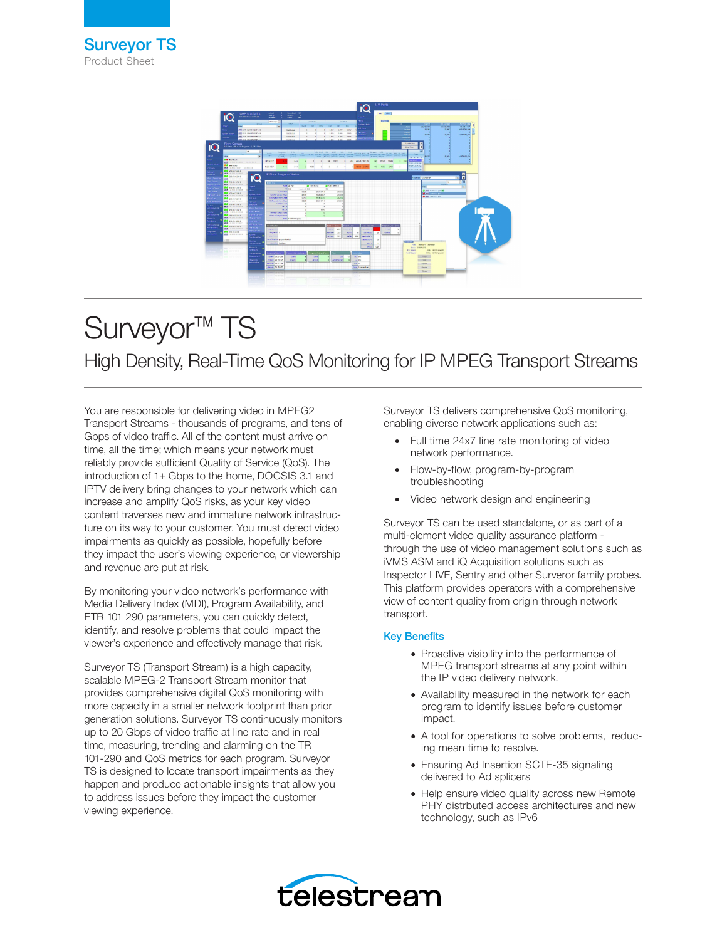

# Surveyor<sup>™</sup> TS High Density, Real-Time QoS Monitoring for IP MPEG Transport Streams

You are responsible for delivering video in MPEG2 Transport Streams - thousands of programs, and tens of Gbps of video traffic. All of the content must arrive on time, all the time; which means your network must reliably provide sufficient Quality of Service (QoS). The introduction of 1+ Gbps to the home, DOCSIS 3.1 and IPTV delivery bring changes to your network which can increase and amplify QoS risks, as your key video content traverses new and immature network infrastructure on its way to your customer. You must detect video impairments as quickly as possible, hopefully before they impact the user's viewing experience, or viewership and revenue are put at risk.

By monitoring your video network's performance with Media Delivery Index (MDI), Program Availability, and ETR 101 290 parameters, you can quickly detect, identify, and resolve problems that could impact the viewer's experience and effectively manage that risk.

Surveyor TS (Transport Stream) is a high capacity, scalable MPEG-2 Transport Stream monitor that provides comprehensive digital QoS monitoring with more capacity in a smaller network footprint than prior generation solutions. Surveyor TS continuously monitors up to 20 Gbps of video traffic at line rate and in real time, measuring, trending and alarming on the TR 101-290 and QoS metrics for each program. Surveyor TS is designed to locate transport impairments as they happen and produce actionable insights that allow you to address issues before they impact the customer viewing experience.

Surveyor TS delivers comprehensive QoS monitoring, enabling diverse network applications such as:

- Full time 24x7 line rate monitoring of video network performance.
- Flow-by-flow, program-by-program troubleshooting
- Video network design and engineering

Surveyor TS can be used standalone, or as part of a multi-element video quality assurance platform through the use of video management solutions such as iVMS ASM and iQ Acquisition solutions such as Inspector LIVE, Sentry and other Surveror family probes. This platform provides operators with a comprehensive view of content quality from origin through network transport.

# Key Benefits

- Proactive visibility into the performance of MPEG transport streams at any point within the IP video delivery network.
- Availability measured in the network for each program to identify issues before customer impact.
- A tool for operations to solve problems, reducing mean time to resolve.
- Ensuring Ad Insertion SCTE-35 signaling delivered to Ad splicers
- Help ensure video quality across new Remote PHY distrbuted access architectures and new technology, such as IPv6